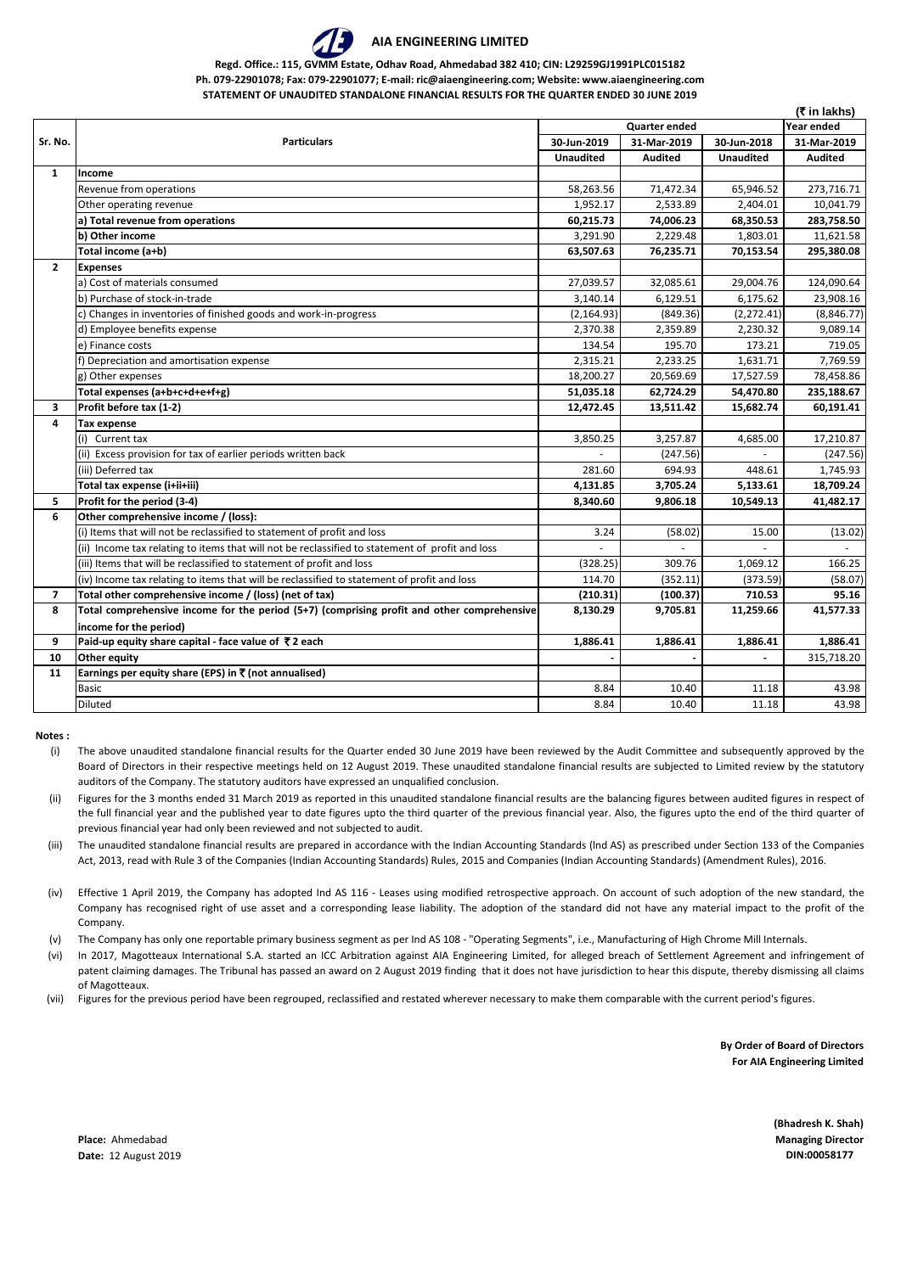## **AIA ENGINEERING LIMITED**

**Regd. Office.: 115, GVMM Estate, Odhav Road, Ahmedabad 382 410; CIN: L29259GJ1991PLC015182**

**Ph. 079-22901078; Fax: 079-22901077; E-mail: ric@aiaengineering.com; Website: www.aiaengineering.com STATEMENT OF UNAUDITED STANDALONE FINANCIAL RESULTS FOR THE QUARTER ENDED 30 JUNE 2019**

**(**` **in lakhs) Year ended 30-Jun-2019 31-Mar-2019 30-Jun-2018 31-Mar-2019 Unaudited Audited Unaudited Audited Income** Revenue from operations 68,946.52 171,472.34 65,946.52 273,716.71 Other operating revenue 1,0041.79 **a) Total revenue from operations 60,215.73 74,006.23 68,350.53 283,758.50 b) Other income** 3,291.90 2,229.48 1,803.01 11,621.58 **Total income (a+b) 63,507.63 76,235.71 70,153.54 295,380.08 Expenses** a) Cost of materials consumed 27,039.57 27,039.57 32,085.61 29,004.76 124,090.64 b) Purchase of stock-in-trade 3,140.14 6,129.51 6,175.62 23,908.16 c) Changes in inventories of finished goods and work-in-progress (2,164.93) (2,164.93) (849.36) (2,272.41) (8,846.77) d) Employee benefits expense 2,0370.38 2,370.38 2,359.89 2,230.32 9,089.14 e) Finance costs 134.54 195.70 173.21 719.05 f) Depreciation and amortisation expense 2,315.21 2,233.25 1,631.71 7,769.59 g) Other expenses 18,200.27 20,569.69 17,527.59 78,458.86 **Total expenses (a+b+c+d+e+f+g) 10.67 10.67 <b>62,724.29 51,035.18 62,724.29 62,724.29 54,470.80 235,188.67 3 Profit before tax (1-2) 12,472.45 13,511.42 15,682.74 60,191.41 Tax expense** (i) Current tax 3,850.25 3,257.87 3,257.87 4,685.00 17,210.87 4,685.00 17,210.87 (ii) Excess provision for tax of earlier periods written back  $(247.56)$   $(247.56)$   $(247.56)$ (iii) Deferred tax 281.60 694.93 448.61 1,745.93 **Total tax expense (i+ii+iii)** 18,709.24 **18,709.24 19,709.24 19,709.24 18,709.24 18,709.24 5 Profit for the period (3-4) 8,340.60 9,806.18 10,549.13 41,482.17 Other comprehensive income / (loss):** (i) Items that will not be reclassified to statement of profit and loss  $\overline{3.24}$   $\overline{3.24}$   $\overline{3.24}$   $\overline{5.02}$   $\overline{15.00}$   $\overline{15.00}$   $\overline{13.02}$ (ii) Income tax relating to items that will not be reclassified to statement of profit and loss (iii) Items that will be reclassified to statement of profit and loss  $(328.25)$   $(328.25)$   $(328.25)$   $(328.25)$   $(328.25)$   $(329.76)$   $(329.76)$   $(329.76)$   $(329.76)$   $(329.76)$   $(329.76)$   $(329.76)$   $(329.76)$   $(329.76$ (iv) Income tax relating to items that will be reclassified to statement of profit and loss  $(352.11)$   $(352.11)$   $(373.59)$   $(58.07)$ 7 **Total other comprehensive income / (loss) (net of tax)** (210.31) (210.31) (100.37) 710.53 95.16 **8 Total comprehensive income for the period (5+7) (comprising profit and other comprehensive income for the period) 8,130.29 9,705.81 11,259.66 41,577.33 9 Paid-up equity share capital - face value of**  $\overline{z}$  **2 each 1,886.41 1,886.41 1,886.41 1,886.41 1,886.41 1,886.41 1,886.41 10 Other equity - - -** 315,718.20 **Earnings per equity share (EPS) in** ` **(not annualised)** Basic 8.84 10.40 11.18 43.98 Diluted 8.84 10.40 11.18 43.98 **Sr. No. Particulars Quarter ended 1 2 4 6 11**

**Notes :**

- (i) The above unaudited standalone financial results for the Quarter ended 30 June 2019 have been reviewed by the Audit Committee and subsequently approved by the Board of Directors in their respective meetings held on 12 August 2019. These unaudited standalone financial results are subjected to Limited review by the statutory auditors of the Company. The statutory auditors have expressed an unqualified conclusion.
- (ii) Figures for the 3 months ended 31 March 2019 as reported in this unaudited standalone financial results are the balancing figures between audited figures in respect of the full financial year and the published year to date figures upto the third quarter of the previous financial year. Also, the figures upto the end of the third quarter of previous financial year had only been reviewed and not subjected to audit.
- (iii) The unaudited standalone financial results are prepared in accordance with the Indian Accounting Standards (lnd AS) as prescribed under Section 133 of the Companies Act, 2013, read with Rule 3 of the Companies (Indian Accounting Standards) Rules, 2015 and Companies (Indian Accounting Standards) (Amendment Rules), 2016.
- (iv) Effective 1 April 2019, the Company has adopted Ind AS 116 - Leases using modified retrospective approach. On account of such adoption of the new standard, the Company has recognised right of use asset and a corresponding lease liability. The adoption of the standard did not have any material impact to the profit of the Company.

(v) The Company has only one reportable primary business segment as per Ind AS 108 - "Operating Segments", i.e., Manufacturing of High Chrome Mill Internals.

- (vi) In 2017, Magotteaux International S.A. started an ICC Arbitration against AIA Engineering Limited, for alleged breach of Settlement Agreement and infringement of patent claiming damages. The Tribunal has passed an award on 2 August 2019 finding that it does not have jurisdiction to hear this dispute, thereby dismissing all claims of Magotteaux.
- (vii) Figures for the previous period have been regrouped, reclassified and restated wherever necessary to make them comparable with the current period's figures.

**By Order of Board of Directors For AIA Engineering Limited**

**(Bhadresh K. Shah)**

**Place:** Ahmedabad **Managing Director Date:** 12 August 2019 **DIN:00058177**